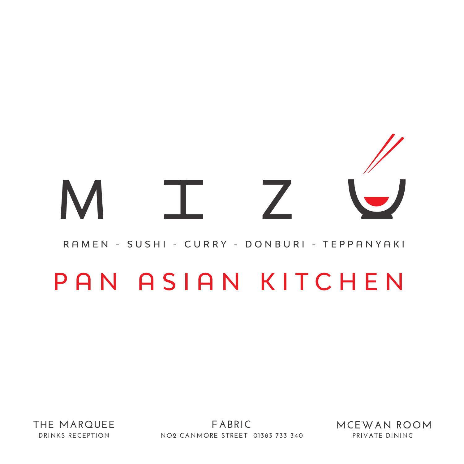## M I Z

## RAMEN - SUSHI - CURRY - DONBURI - TEPPANYAKI

## PAN ASIAN KITCHEN

**THE MARQUEE DRINKS RECEPTION**

**FABRIC NO2 CANMORE STREET 01383 733 340 PRIVATE DINING**

MCEWAN ROOM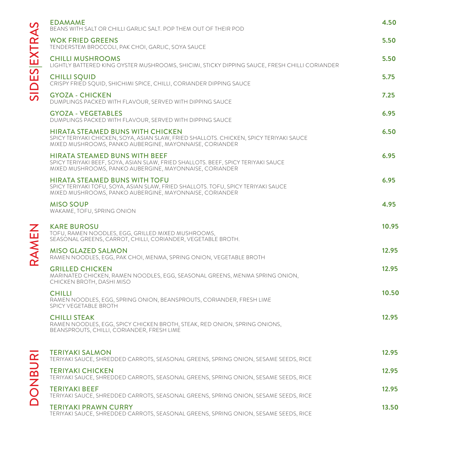| $\mathcal{O}$<br>SIDESEXTRA | <b>EDAMAME</b><br>BEANS WITH SALT OR CHILLI GARLIC SALT. POP THEM OUT OF THEIR POD                                                                                                            | 4.50  |
|-----------------------------|-----------------------------------------------------------------------------------------------------------------------------------------------------------------------------------------------|-------|
|                             | <b>WOK FRIED GREENS</b><br>TENDERSTEM BROCCOLI, PAK CHOI, GARLIC, SOYA SAUCE                                                                                                                  | 5.50  |
|                             | <b>CHILLI MUSHROOMS</b><br>LIGHTLY BATTERED KING OYSTER MUSHROOMS, SHICIMI, STICKY DIPPING SAUCE, FRESH CHILLI CORIANDER                                                                      | 5.50  |
|                             | <b>CHILLI SQUID</b><br>CRISPY FRIED SQUID, SHICHIMI SPICE, CHILLI, CORIANDER DIPPING SAUCE                                                                                                    | 5.75  |
|                             | <b>GYOZA - CHICKEN</b><br>DUMPLINGS PACKED WITH FLAVOUR, SERVED WITH DIPPING SAUCE                                                                                                            | 7.25  |
|                             | <b>GYOZA - VEGETABLES</b><br>DUMPLINGS PACKED WITH FLAVOUR, SERVED WITH DIPPING SAUCE                                                                                                         | 6.95  |
|                             | <b>HIRATA STEAMED BUNS WITH CHICKEN</b><br>SPICY TERIYAKI CHICKEN, SOYA, ASIAN SLAW, FRIED SHALLOTS. CHICKEN, SPICY TERIYAKI SAUCE<br>MIXED MUSHROOMS, PANKO AUBERGINE, MAYONNAISE, CORIANDER | 6.50  |
|                             | <b>HIRATA STEAMED BUNS WITH BEEF</b><br>SPICY TERIYAKI BEEF, SOYA, ASIAN SLAW, FRIED SHALLOTS. BEEF, SPICY TERIYAKI SAUCE<br>MIXED MUSHROOMS, PANKO AUBERGINE, MAYONNAISE, CORIANDER          | 6.95  |
|                             | <b>HIRATA STEAMED BUNS WITH TOFU</b><br>SPICY TERIYAKI TOFU, SOYA, ASIAN SLAW, FRIED SHALLOTS. TOFU, SPICY TERIYAKI SAUCE<br>MIXED MUSHROOMS, PANKO AUBERGINE, MAYONNAISE, CORIANDER          | 6.95  |
|                             | <b>MISO SOUP</b><br>WAKAME, TOFU, SPRING ONION                                                                                                                                                | 4.95  |
| RAMEN                       | <b>KARE BUROSU</b><br>TOFU, RAMEN NOODLES, EGG, GRILLED MIXED MUSHROOMS,<br>SEASONAL GREENS, CARROT, CHILLI, CORIANDER, VEGETABLE BROTH.                                                      | 10.95 |
|                             | <b>MISO GLAZED SALMON</b><br>RAMEN NOODLES, EGG, PAK CHOI, MENMA, SPRING ONION, VEGETABLE BROTH                                                                                               | 12.95 |
|                             |                                                                                                                                                                                               |       |
|                             | <b>GRILLED CHICKEN</b><br>MARINATED CHICKEN, RAMEN NOODLES, EGG, SEASONAL GREENS, MENMA SPRING ONION,<br>CHICKEN BROTH, DASHI MISO                                                            | 12.95 |
|                             | <b>CHILLI</b><br>RAMEN NOODLES, EGG, SPRING ONION, BEANSPROUTS, CORIANDER, FRESH LIME<br>SPICY VEGETABLE BROTH                                                                                | 10.50 |
|                             | <b>CHILLI STEAK</b><br>RAMEN NOODLES, EGG, SPICY CHICKEN BROTH, STEAK, RED ONION, SPRING ONIONS,<br>BEANSPROUTS, CHILLI, CORIANDER, FRESH LIME                                                | 12.95 |
|                             | <b>TERIYAKI SALMON</b><br>TERIYAKI SAUCE, SHREDDED CARROTS, SEASONAL GREENS, SPRING ONION, SESAME SEEDS, RICE                                                                                 | 12.95 |
|                             | <b>TERIYAKI CHICKEN</b><br>TERIYAKI SAUCE, SHREDDED CARROTS, SEASONAL GREENS, SPRING ONION, SESAME SEEDS, RICE                                                                                | 12.95 |
| <b>UBNOC</b>                | <b>TERIYAKI BEEF</b><br>TERIYAKI SAUCE, SHREDDED CARROTS, SEASONAL GREENS, SPRING ONION, SESAME SEEDS, RICE                                                                                   | 12.95 |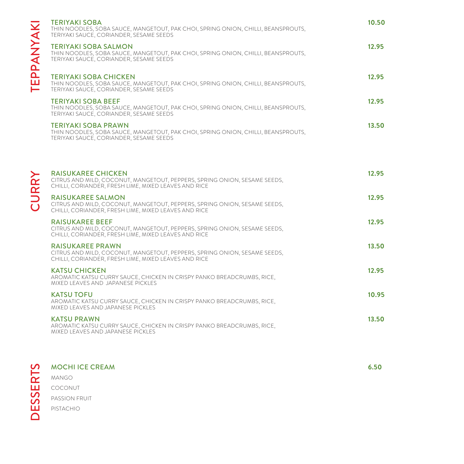|             | <b>TERIYAKI SOBA</b><br>THIN NOODLES, SOBA SAUCE, MANGETOUT, PAK CHOI, SPRING ONION, CHILLI, BEANSPROUTS,<br>TERIYAKI SAUCE, CORIANDER, SESAME SEEDS           | 10.50 |
|-------------|----------------------------------------------------------------------------------------------------------------------------------------------------------------|-------|
| TEPPANYA    | <b>TERIYAKI SOBA SALMON</b><br>THIN NOODLES, SOBA SAUCE, MANGETOUT, PAK CHOI, SPRING ONION, CHILLI, BEANSPROUTS,<br>TERIYAKI SAUCE, CORIANDER, SESAME SEEDS    | 12.95 |
|             | <b>TERIYAKI SOBA CHICKEN</b><br>THIN NOODLES, SOBA SAUCE, MANGETOUT, PAK CHOI, SPRING ONION, CHILLI, BEANSPROUTS,<br>TERIYAKI SAUCE, CORIANDER, SESAME SEEDS   | 12.95 |
|             | <b>TERIYAKI SOBA BEEF</b><br>THIN NOODLES, SOBA SAUCE, MANGETOUT, PAK CHOI, SPRING ONION, CHILLI, BEANSPROUTS,<br>TERIYAKI SAUCE, CORIANDER, SESAME SEEDS      | 12.95 |
|             | <b>TERIYAKI SOBA PRAWN</b><br>THIN NOODLES, SOBA SAUCE, MANGETOUT, PAK CHOI, SPRING ONION, CHILLI, BEANSPROUTS,<br>TERIYAKI SAUCE, CORIANDER, SESAME SEEDS     | 13.50 |
|             | <b>RAISUKAREE CHICKEN</b><br>CITRUS AND MILD, COCONUT, MANGETOUT, PEPPERS, SPRING ONION, SESAME SEEDS,<br>CHILLI, CORIANDER, FRESH LIME, MIXED LEAVES AND RICE | 12.95 |
| <b>CURR</b> | <b>RAISUKAREE SALMON</b><br>CITRUS AND MILD, COCONUT, MANGETOUT, PEPPERS, SPRING ONION, SESAME SEEDS,<br>CHILLI, CORIANDER, FRESH LIME, MIXED LEAVES AND RICE  | 12.95 |
|             | <b>RAISUKAREE BEEF</b><br>CITRUS AND MILD, COCONUT, MANGETOUT, PEPPERS, SPRING ONION, SESAME SEEDS,<br>CHILLI, CORIANDER, FRESH LIME, MIXED LEAVES AND RICE    | 12.95 |
|             | <b>RAISUKAREE PRAWN</b><br>CITRUS AND MILD, COCONUT, MANGETOUT, PEPPERS, SPRING ONION, SESAME SEEDS,<br>CHILLI, CORIANDER, FRESH LIME, MIXED LEAVES AND RICE   | 13.50 |
|             | <b>KATSU CHICKEN</b><br>AROMATIC KATSU CURRY SAUCE, CHICKEN IN CRISPY PANKO BREADCRUMBS, RICE,<br>MIXED LEAVES AND JAPANESE PICKLES                            | 12.95 |
|             | <b>KATSU TOFU</b><br>AROMATIC KATSU CURRY SAUCE, CHICKEN IN CRISPY PANKO BREADCRUMBS, RICE,<br>MIXED LEAVES AND JAPANESE PICKLES                               | 10.95 |
|             | <b>KATSU PRAWN</b><br>AROMATIC KATSU CURRY SAUCE, CHICKEN IN CRISPY PANKO BREADCRUMBS, RICE,<br>MIXED LEAVES AND JAPANESE PICKLES                              | 13.50 |
|             |                                                                                                                                                                |       |

**6.50**

MOCHI ICE CREAM<br>
MANGO<br>
COCONUT<br>
PASSION FRUIT<br>
PISTACHIO MANGO COCONUT PASSION FRUIT PISTACHIO

TEPPANYAKI